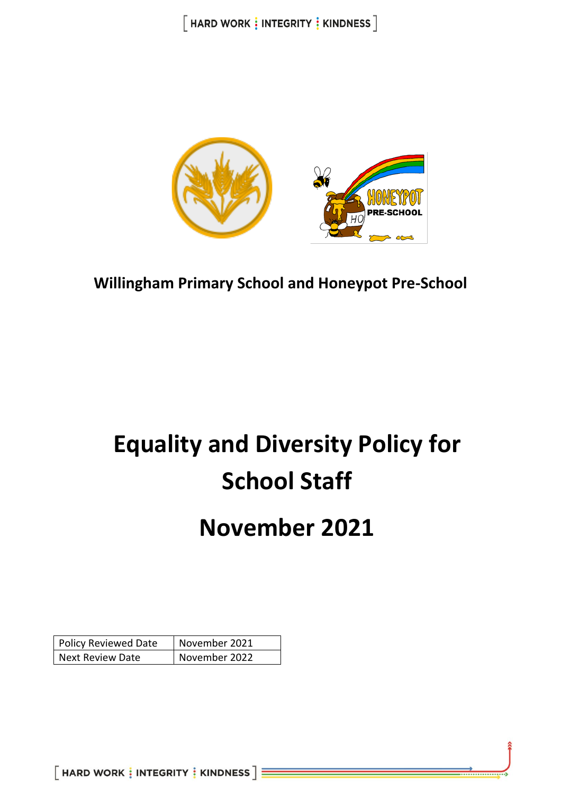

**Willingham Primary School and Honeypot Pre-School**

# **Equality and Diversity Policy for School Staff**

## **November 2021**

| <b>Policy Reviewed Date</b> | November 2021 |
|-----------------------------|---------------|
| <b>Next Review Date</b>     | November 2022 |

 $[$  HARD WORK  $\frac{1}{3}$  INTEGRITY  $\frac{1}{3}$  KINDNESS  $] \equiv$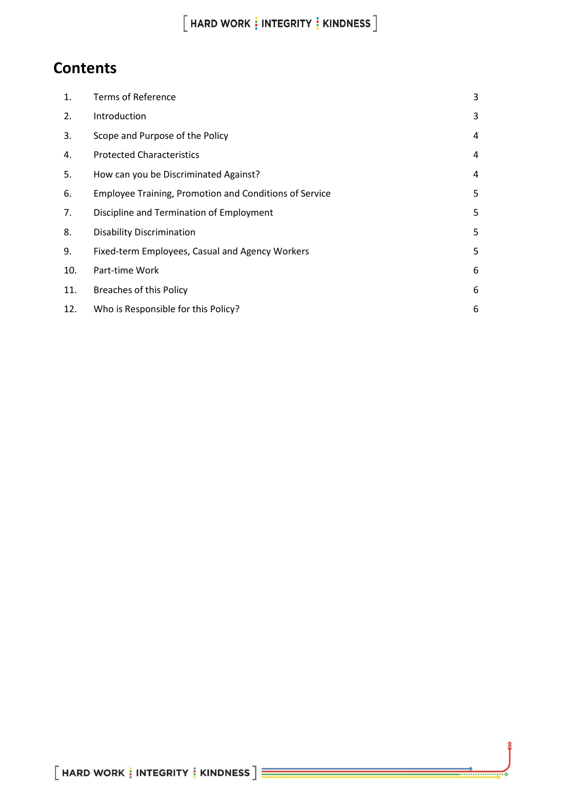## $[$  HARD WORK  $\vdots$  INTEGRITY  $\vdots$  KINDNESS  $]$

## **Contents**

| 1.  | <b>Terms of Reference</b>                              | 3 |
|-----|--------------------------------------------------------|---|
| 2.  | Introduction                                           | 3 |
| 3.  | Scope and Purpose of the Policy                        | 4 |
| 4.  | <b>Protected Characteristics</b>                       | 4 |
| 5.  | How can you be Discriminated Against?                  | 4 |
| 6.  | Employee Training, Promotion and Conditions of Service | 5 |
| 7.  | Discipline and Termination of Employment               | 5 |
| 8.  | <b>Disability Discrimination</b>                       | 5 |
| 9.  | Fixed-term Employees, Casual and Agency Workers        | 5 |
| 10. | Part-time Work                                         | 6 |
| 11. | <b>Breaches of this Policy</b>                         | 6 |
| 12. | Who is Responsible for this Policy?                    | 6 |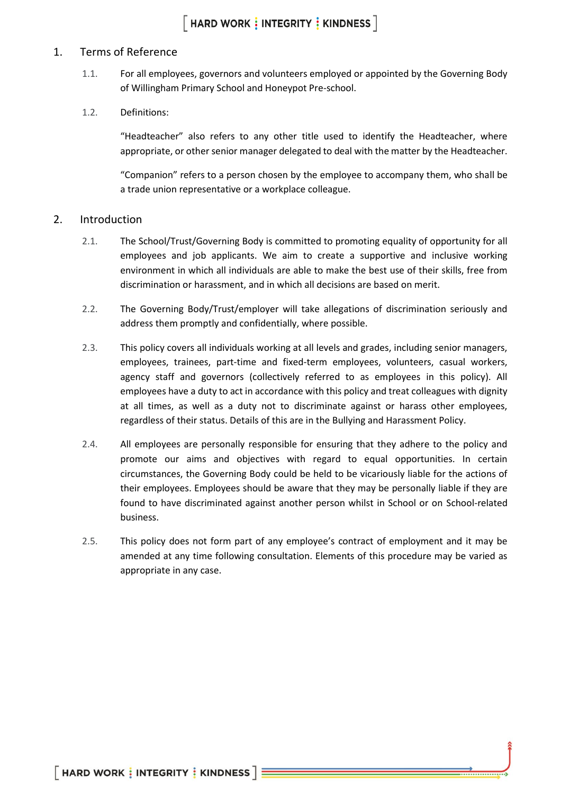#### <span id="page-2-0"></span>1. Terms of Reference

1.1. For all employees, governors and volunteers employed or appointed by the Governing Body of Willingham Primary School and Honeypot Pre-school.

#### 1.2. Definitions:

"Headteacher" also refers to any other title used to identify the Headteacher, where appropriate, or other senior manager delegated to deal with the matter by the Headteacher.

"Companion" refers to a person chosen by the employee to accompany them, who shall be a trade union representative or a workplace colleague.

#### <span id="page-2-1"></span>2. Introduction

- 2.1. The School/Trust/Governing Body is committed to promoting equality of opportunity for all employees and job applicants. We aim to create a supportive and inclusive working environment in which all individuals are able to make the best use of their skills, free from discrimination or harassment, and in which all decisions are based on merit.
- 2.2. The Governing Body/Trust/employer will take allegations of discrimination seriously and address them promptly and confidentially, where possible.
- 2.3. This policy covers all individuals working at all levels and grades, including senior managers, employees, trainees, part-time and fixed-term employees, volunteers, casual workers, agency staff and governors (collectively referred to as employees in this policy). All employees have a duty to act in accordance with this policy and treat colleagues with dignity at all times, as well as a duty not to discriminate against or harass other employees, regardless of their status. Details of this are in the Bullying and Harassment Policy.
- 2.4. All employees are personally responsible for ensuring that they adhere to the policy and promote our aims and objectives with regard to equal opportunities. In certain circumstances, the Governing Body could be held to be vicariously liable for the actions of their employees. Employees should be aware that they may be personally liable if they are found to have discriminated against another person whilst in School or on School-related business.
- 2.5. This policy does not form part of any employee's contract of employment and it may be amended at any time following consultation. Elements of this procedure may be varied as appropriate in any case.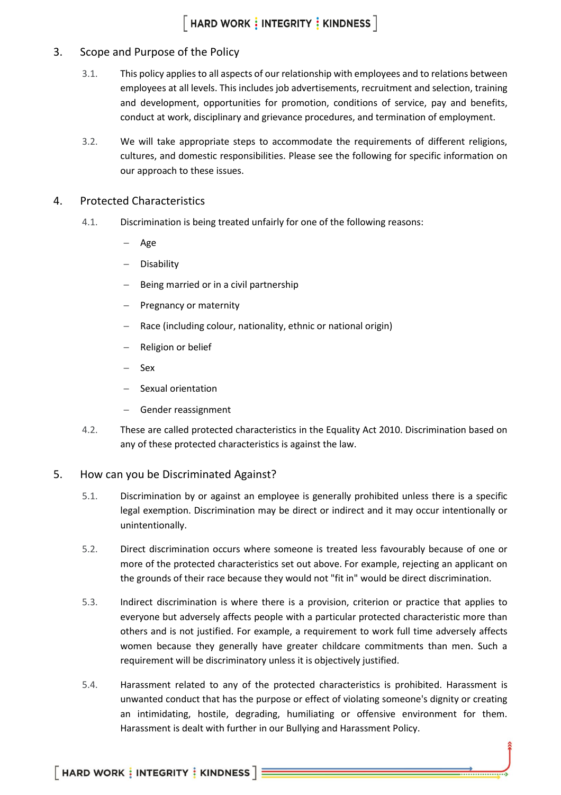#### <span id="page-3-0"></span>3. Scope and Purpose of the Policy

- 3.1. This policy applies to all aspects of our relationship with employees and to relations between employees at all levels. This includes job advertisements, recruitment and selection, training and development, opportunities for promotion, conditions of service, pay and benefits, conduct at work, disciplinary and grievance procedures, and termination of employment.
- 3.2. We will take appropriate steps to accommodate the requirements of different religions, cultures, and domestic responsibilities. Please see the following for specific information on our approach to these issues.

#### <span id="page-3-1"></span>4. Protected Characteristics

- 4.1. Discrimination is being treated unfairly for one of the following reasons:
	- − Age
	- − Disability
	- Being married or in a civil partnership
	- Pregnancy or maternity
	- Race (including colour, nationality, ethnic or national origin)
	- − Religion or belief
	- − Sex
	- − Sexual orientation
	- Gender reassignment
- 4.2. These are called protected characteristics in the Equality Act 2010. Discrimination based on any of these protected characteristics is against the law.

#### <span id="page-3-2"></span>5. How can you be Discriminated Against?

- 5.1. Discrimination by or against an employee is generally prohibited unless there is a specific legal exemption. Discrimination may be direct or indirect and it may occur intentionally or unintentionally.
- 5.2. Direct discrimination occurs where someone is treated less favourably because of one or more of the protected characteristics set out above. For example, rejecting an applicant on the grounds of their race because they would not "fit in" would be direct discrimination.
- 5.3. Indirect discrimination is where there is a provision, criterion or practice that applies to everyone but adversely affects people with a particular protected characteristic more than others and is not justified. For example, a requirement to work full time adversely affects women because they generally have greater childcare commitments than men. Such a requirement will be discriminatory unless it is objectively justified.
- 5.4. Harassment related to any of the protected characteristics is prohibited. Harassment is unwanted conduct that has the purpose or effect of violating someone's dignity or creating an intimidating, hostile, degrading, humiliating or offensive environment for them. Harassment is dealt with further in our Bullying and Harassment Policy.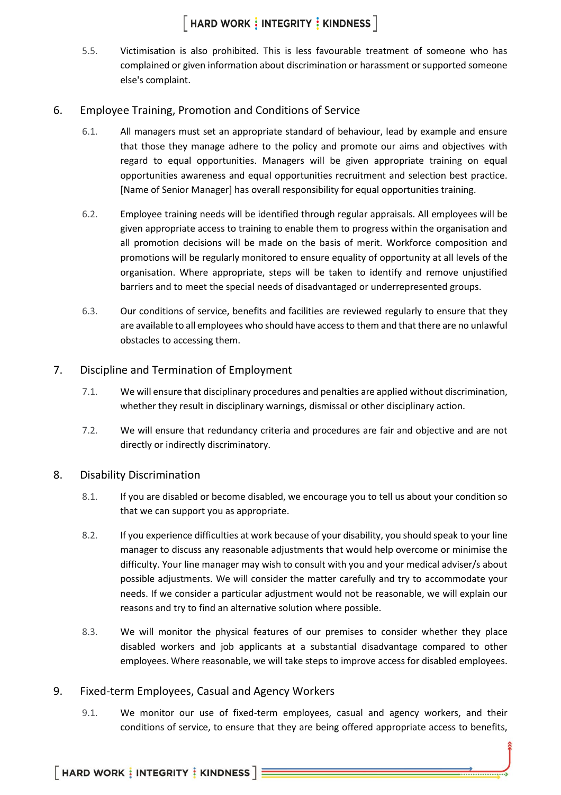5.5. Victimisation is also prohibited. This is less favourable treatment of someone who has complained or given information about discrimination or harassment or supported someone else's complaint.

#### <span id="page-4-0"></span>6. Employee Training, Promotion and Conditions of Service

- 6.1. All managers must set an appropriate standard of behaviour, lead by example and ensure that those they manage adhere to the policy and promote our aims and objectives with regard to equal opportunities. Managers will be given appropriate training on equal opportunities awareness and equal opportunities recruitment and selection best practice. [Name of Senior Manager] has overall responsibility for equal opportunities training.
- 6.2. Employee training needs will be identified through regular appraisals. All employees will be given appropriate access to training to enable them to progress within the organisation and all promotion decisions will be made on the basis of merit. Workforce composition and promotions will be regularly monitored to ensure equality of opportunity at all levels of the organisation. Where appropriate, steps will be taken to identify and remove unjustified barriers and to meet the special needs of disadvantaged or underrepresented groups.
- 6.3. Our conditions of service, benefits and facilities are reviewed regularly to ensure that they are available to all employees who should have access to them and that there are no unlawful obstacles to accessing them.

#### <span id="page-4-1"></span>7. Discipline and Termination of Employment

- 7.1. We will ensure that disciplinary procedures and penalties are applied without discrimination, whether they result in disciplinary warnings, dismissal or other disciplinary action.
- 7.2. We will ensure that redundancy criteria and procedures are fair and objective and are not directly or indirectly discriminatory.

#### <span id="page-4-2"></span>8. Disability Discrimination

- 8.1. If you are disabled or become disabled, we encourage you to tell us about your condition so that we can support you as appropriate.
- 8.2. If you experience difficulties at work because of your disability, you should speak to your line manager to discuss any reasonable adjustments that would help overcome or minimise the difficulty. Your line manager may wish to consult with you and your medical adviser/s about possible adjustments. We will consider the matter carefully and try to accommodate your needs. If we consider a particular adjustment would not be reasonable, we will explain our reasons and try to find an alternative solution where possible.
- 8.3. We will monitor the physical features of our premises to consider whether they place disabled workers and job applicants at a substantial disadvantage compared to other employees. Where reasonable, we will take steps to improve access for disabled employees.

#### <span id="page-4-3"></span>9. Fixed-term Employees, Casual and Agency Workers

9.1. We monitor our use of fixed-term employees, casual and agency workers, and their conditions of service, to ensure that they are being offered appropriate access to benefits,